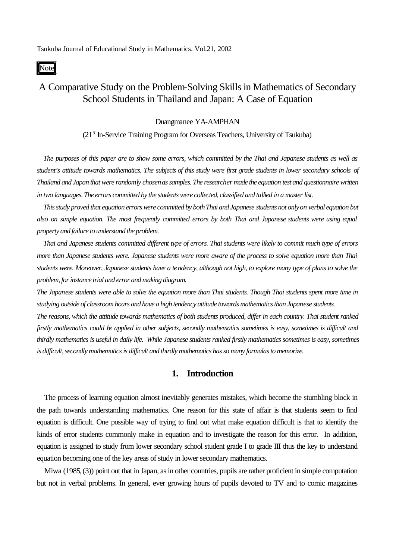Note

# A Comparative Study on the Problem-Solving Skills in Mathematics of Secondary School Students in Thailand and Japan: A Case of Equation

#### Duangmanee YA-AMPHAN

 $(21<sup>st</sup>$  In-Service Training Program for Overseas Teachers, University of Tsukuba)

*The purposes of this paper are to show some errors, which committed by the Thai and Japanese students as well as student's attitude towards mathematics. The subjects of this study were first grade students in lower secondary schools of Thailand and Japan that were randomly chosenas samples. The researcher made the equation test and questionnairewritten in two languages. The errors committed by the students were collected, classified and tallied in a master list.*

*This study proved that equation errors were committed by both Thai and Japanese students not only on verbal equation but also on simple equation. The most frequently committed errors by both Thai and Japanese students were using equal property and failure to understand the problem.*

*Thai and Japanese students committed different type of errors. Thai students were likely to commit much type of errors more than Japanese students were. Japanese students were more aware of the process to solve equation more than Thai students were. Moreover, Japanese students have a tendency, although not high, to explore many type of plans to solve the problem, for instance trial and error and making diagram.*

*The Japanese students were able to solve the equation more than Thai students. Though Thai students spent more time in studying outside of classroom hours and have a high tendency attitude towards mathematics than Japanese students.* 

*The reasons, which the attitude towards mathematics of both students produced, differ in each country. Thai student ranked firstly mathematics could be applied in other subjects, secondly mathematics sometimes is easy, sometimes is difficult and thirdly mathematics is useful in daily life. While Japanese students ranked firstly mathematics sometimes is easy, sometimes is difficult, secondly mathematics is difficult and thirdly mathematics has so many formulas to memorize.*

## **1. Introduction**

The process of learning equation almost inevitably generates mistakes, which become the stumbling block in the path towards understanding mathematics. One reason for this state of affair is that students seem to find equation is difficult. One possible way of trying to find out what make equation difficult is that to identify the kinds of error students commonly make in equation and to investigate the reason for this error. In addition, equation is assigned to study from lower secondary school student grade I to grade III thus the key to understand equation becoming one of the key areas of study in lower secondary mathematics.

Miwa (1985, (3)) point out that in Japan, as in other countries, pupils are rather proficient in simple computation but not in verbal problems. In general, ever growing hours of pupils devoted to TV and to comic magazines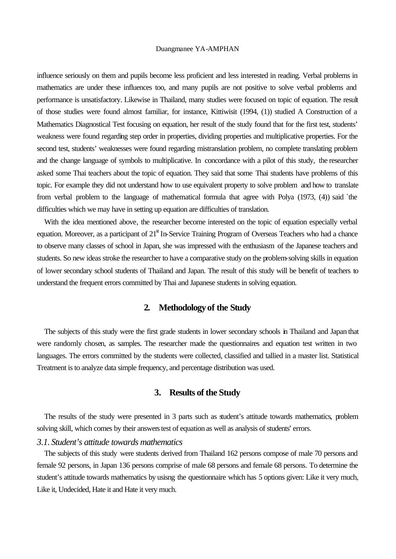influence seriously on them and pupils become less proficient and less interested in reading. Verbal problems in mathematics are under these influences too, and many pupils are not positive to solve verbal problems and performance is unsatisfactory. Likewise in Thailand, many studies were focused on topic of equation. The result of those studies were found almost familiar, for instance, Kittiwisit (1994, (1)) studied A Construction of a Mathematics Diagnostical Test focusing on equation, her result of the study found that for the first test, students' weakness were found regarding step order in properties, dividing properties and multiplicative properties. For the second test, students' weaknesses were found regarding mistranslation problem, no complete translating problem and the change language of symbols to multiplicative. In concordance with a pilot of this study, the researcher asked some Thai teachers about the topic of equation. They said that some Thai students have problems of this topic. For example they did not understand how to use equivalent property to solve problem and how to translate from verbal problem to the language of mathematical formula that agree with Polya (1973, (4)) said `the difficulties which we may have in setting up equation are difficulties of translation.

With the idea mentioned above, the researcher become interested on the topic of equation especially verbal equation. Moreover, as a participant of 21<sup>st</sup> In-Service Training Program of Overseas Teachers who had a chance to observe many classes of school in Japan, she was impressed with the enthusiasm of the Japanese teachers and students. So new ideas stroke the researcher to have a comparative study on the problem-solving skills in equation of lower secondary school students of Thailand and Japan. The result of this study will be benefit of teachers to understand the frequent errors committed by Thai and Japanese students in solving equation.

## **2. Methodology of the Study**

The subjects of this study were the first grade students in lower secondary schools in Thailand and Japan that were randomly chosen, as samples. The researcher made the questionnaires and equation test written in two languages. The errors committed by the students were collected, classified and tallied in a master list. Statistical Treatment is to analyze data simple frequency, and percentage distribution was used.

## **3. Results of the Study**

The results of the study were presented in 3 parts such as student's attitude towards mathematics, problem solving skill, which comes by their answers test of equation as well as analysis of students' errors.

### *3.1. Student's attitude towards mathematics*

The subjects of this study were students derived from Thailand 162 persons compose of male 70 persons and female 92 persons, in Japan 136 persons comprise of male 68 persons and female 68 persons. To determine the student's attitude towards mathematics by usisng the questionnaire which has 5 options given: Like it very much, Like it, Undecided, Hate it and Hate it very much.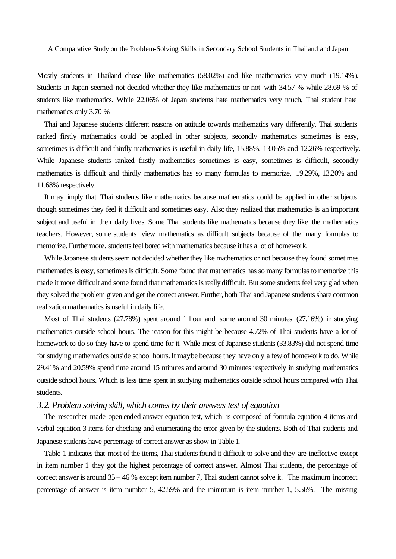Mostly students in Thailand chose like mathematics (58.02%) and like mathematics very much (19.14%). Students in Japan seemed not decided whether they like mathematics or not with 34.57 % while 28.69 % of students like mathematics. While 22.06% of Japan students hate mathematics very much, Thai student hate mathematics only 3.70 %

Thai and Japanese students different reasons on attitude towards mathematics vary differently. Thai students ranked firstly mathematics could be applied in other subjects, secondly mathematics sometimes is easy, sometimes is difficult and thirdly mathematics is useful in daily life, 15.88%, 13.05% and 12.26% respectively. While Japanese students ranked firstly mathematics sometimes is easy, sometimes is difficult, secondly mathematics is difficult and thirdly mathematics has so many formulas to memorize, 19.29%, 13.20% and 11.68% respectively.

It may imply that Thai students like mathematics because mathematics could be applied in other subjects though sometimes they feel it difficult and sometimes easy. Also they realized that mathematics is an important subject and useful in their daily lives. Some Thai students like mathematics because they like the mathematics teachers. However, some students view mathematics as difficult subjects because of the many formulas to memorize. Furthermore, students feel bored with mathematics because it has a lot of homework.

While Japanese students seem not decided whether they like mathematics or not because they found sometimes mathematics is easy, sometimes is difficult. Some found that mathematics has so many formulas to memorize this made it more difficult and some found that mathematics is really difficult. But some students feel very glad when they solved the problem given and get the correct answer. Further, both Thai and Japanese students share common realization mathematics is useful in daily life.

Most of Thai students (27.78%) spent around 1 hour and some around 30 minutes (27.16%) in studying mathematics outside school hours. The reason for this might be because 4.72% of Thai students have a lot of homework to do so they have to spend time for it. While most of Japanese students (33.83%) did not spend time for studying mathematics outside school hours. It maybe because they have only a few of homework to do. While 29.41% and 20.59% spend time around 15 minutes and around 30 minutes respectively in studying mathematics outside school hours. Which is less time spent in studying mathematics outside school hours compared with Thai students.

## *3.2. Problem solving skill, which comes by their answers test of equation*

The researcher made open-ended answer equation test, which is composed of formula equation 4 items and verbal equation 3 items for checking and enumerating the error given by the students. Both of Thai students and Japanese students have percentage of correct answer as show in Table 1.

Table 1 indicates that most of the items, Thai students found it difficult to solve and they are ineffective except in item number 1 they got the highest percentage of correct answer. Almost Thai students, the percentage of correct answer is around 35 – 46 % except item number 7, Thai student cannot solve it. The maximum incorrect percentage of answer is item number 5, 42.59% and the minimum is item number 1, 5.56%. The missing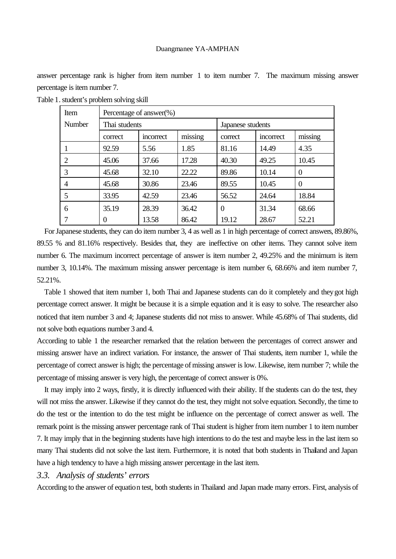answer percentage rank is higher from item number 1 to item number 7. The maximum missing answer percentage is item number 7.

| Item           | Percentage of answer $(\%)$ |           |                   |                |           |          |
|----------------|-----------------------------|-----------|-------------------|----------------|-----------|----------|
| Number         | Thai students               |           | Japanese students |                |           |          |
|                | correct                     | incorrect | missing           | correct        | incorrect | missing  |
|                | 92.59                       | 5.56      | 1.85              | 81.16          | 14.49     | 4.35     |
| 2              | 45.06                       | 37.66     | 17.28             | 40.30          | 49.25     | 10.45    |
| 3              | 45.68                       | 32.10     | 22.22             | 89.86          | 10.14     | $\theta$ |
| $\overline{4}$ | 45.68                       | 30.86     | 23.46             | 89.55          | 10.45     | $\theta$ |
|                | 33.95                       | 42.59     | 23.46             | 56.52          | 24.64     | 18.84    |
| 6              | 35.19                       | 28.39     | 36.42             | $\overline{0}$ | 31.34     | 68.66    |
|                | 0                           | 13.58     | 86.42             | 19.12          | 28.67     | 52.21    |

Table 1. student's problem solving skill

For Japanese students, they can do item number 3, 4 as well as 1 in high percentage of correct answers, 89.86%, 89.55 % and 81.16% respectively. Besides that, they are ineffective on other items. They cannot solve item number 6. The maximum incorrect percentage of answer is item number 2, 49.25% and the minimum is item number 3, 10.14%. The maximum missing answer percentage is item number 6, 68.66% and item number 7, 52.21%.

Table 1 showed that item number 1, both Thai and Japanese students can do it completely and they got high percentage correct answer. It might be because it is a simple equation and it is easy to solve. The researcher also noticed that item number 3 and 4; Japanese students did not miss to answer. While 45.68% of Thai students, did not solve both equations number 3 and 4.

According to table 1 the researcher remarked that the relation between the percentages of correct answer and missing answer have an indirect variation. For instance, the answer of Thai students, item number 1, while the percentage of correct answer is high; the percentage of missing answer is low. Likewise, item number 7; while the percentage of missing answer is very high, the percentage of correct answer is 0%.

It may imply into 2 ways, firstly, it is directly influenced with their ability. If the students can do the test, they will not miss the answer. Likewise if they cannot do the test, they might not solve equation. Secondly, the time to do the test or the intention to do the test might be influence on the percentage of correct answer as well. The remark point is the missing answer percentage rank of Thai student is higher from item number 1 to item number 7. It may imply that in the beginning students have high intentions to do the test and maybe less in the last item so many Thai students did not solve the last item. Furthermore, it is noted that both students in Thailand and Japan have a high tendency to have a high missing answer percentage in the last item.

## *3.3. Analysis of students' errors*

According to the answer of equation test, both students in Thailand and Japan made many errors. First, analysis of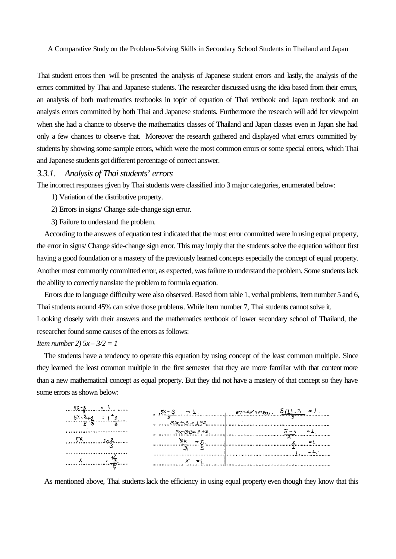Thai student errors then will be presented the analysis of Japanese student errors and lastly, the analysis of the errors committed by Thai and Japanese students. The researcher discussed using the idea based from their errors, an analysis of both mathematics textbooks in topic of equation of Thai textbook and Japan textbook and an analysis errors committed by both Thai and Japanese students. Furthermore the research will add her viewpoint when she had a chance to observe the mathematics classes of Thailand and Japan classes even in Japan she had only a few chances to observe that. Moreover the research gathered and displayed what errors committed by students by showing some sample errors, which were the most common errors or some special errors, which Thai and Japanese students got different percentage of correct answer.

## *3.3.1. Analysis of Thai students' errors*

The incorrect responses given by Thai students were classified into 3 major categories, enumerated below:

- 1) Variation of the distributive property.
- 2) Errors in signs/ Change side-change sign error.
- 3) Failure to understand the problem.

According to the answers of equation test indicated that the most error committed were in using equal property, the error in signs/ Change side-change sign error. This may imply that the students solve the equation without first having a good foundation or a mastery of the previously learned concepts especially the concept of equal property. Another most commonly committed error, as expected, was failure to understand the problem. Some students lack the ability to correctly translate the problem to formula equation.

Errors due to language difficulty were also observed. Based from table 1, verbal problems, item number 5 and 6, Thai students around 45% can solve those problems. While item number 7, Thai students cannot solve it. Looking closely with their answers and the mathematics textbook of lower secondary school of Thailand, the researcher found some causes of the errors as follows:

## *Item number 2) 5x – 3/2 = 1*

The students have a tendency to operate this equation by using concept of the least common multiple. Since they learned the least common multiple in the first semester that they are more familiar with that content more than a new mathematical concept as equal property. But they did not have a mastery of that concept so they have some errors as shown below:

|            | $\sim$                    | $5(1) - 3 = 1$ |
|------------|---------------------------|----------------|
| . <u>.</u> | $5x - 3 = 1 \times 2$<br> |                |
|            | - 5x−3±3= 2 +3.<br>       |                |
|            |                           |                |
|            | .                         |                |
|            |                           |                |
|            |                           |                |

As mentioned above, Thai students lack the efficiency in using equal property even though they know that this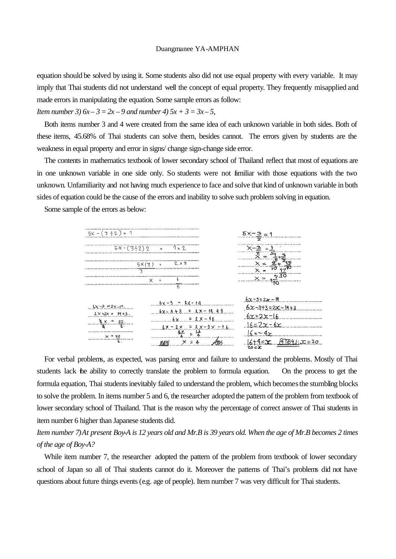equation should be solved by using it. Some students also did not use equal property with every variable. It may imply that Thai students did not understand well the concept of equal property. They frequently misapplied and made errors in manipulating the equation. Some sample errors as follow:

*Item number 3)*  $6x - 3 = 2x - 9$  *and number 4)*  $5x + 3 = 3x - 5$ ,

Both items number 3 and 4 were created from the same idea of each unknown variable in both sides. Both of these items, 45.68% of Thai students can solve them, besides cannot. The errors given by students are the weakness in equal property and error in signs/ change sign-change side error.

The contents in mathematics textbook of lower secondary school of Thailand reflect that most of equations are in one unknown variable in one side only. So students were not familiar with those equations with the two unknown. Unfamiliarity and not having much experience to face and solve that kind of unknown variable in both sides of equation could be the cause of the errors and inability to solve such problem solving in equation.

Some sample of the errors as below:



For verbal problems, as expected, was parsing error and failure to understand the problems. Mostly of Thai students lack the ability to correctly translate the problem to formula equation. On the process to get the formula equation, Thai students inevitably failed to understand the problem, which becomes the stumbling blocks to solve the problem. In items number 5 and 6, the researcher adopted the pattern of the problem from textbook of lower secondary school of Thailand. That is the reason why the percentage of correct answer of Thai students in item number 6 higher than Japanese students did.

*Item number 7) At present Boy-A is 12 years old and Mr.B is 39 years old. When the age of Mr.B becomes 2 times of the age of Boy-A?*

While item number 7, the researcher adopted the pattern of the problem from textbook of lower secondary school of Japan so all of Thai students cannot do it. Moreover the patterns of Thai's problems did not have questions about future things events (e.g. age of people). Item number 7 was very difficult for Thai students.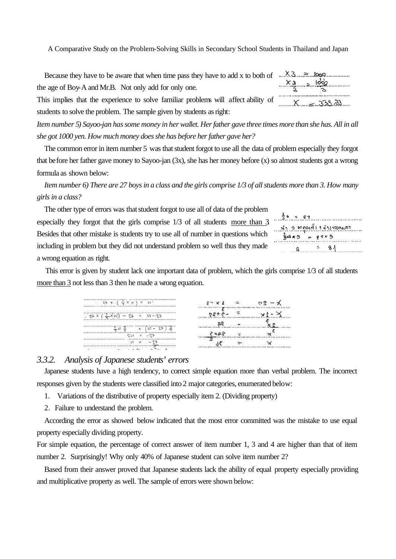Because they have to be aware that when time pass they have to add x to both of  $\ldots$   $\ldots$   $\ldots$ the age of Boy-A and Mr.B. Not only add for only one.

This implies that the experience to solve familiar problems will affect ability of students to solve the problem. The sample given by students as right:

*Item number 5) Sayoo-jan has some money in her wallet. Her father gave three times more than she has. All in all she got 1000 yen. How much money does she has before her father gave her?*

The common error in item number 5 was that student forgot to use all the data of problem especially they forgot that before her father gave money to Sayoo-jan (3x), she has her money before (x) so almost students got a wrong formula as shown below:

*Item number 6) There are 27 boys in a class and the girls comprise 1/3 of all students more than 3. How many girls in a class?*

The other type of errors was that student forgot to use all of data of the problem especially they forgot that the girls comprise 1/3 of all students more than 3. Besides that other mistake is students try to use all of number in questions which including in problem but they did not understand problem so well thus they made a wrong equation as right.



 $x_3 = 100$ 

........X......<u>......333..83</u>.....

This error is given by student lack one important data of problem, which the girls comprise 1/3 of all students more than 3 not less than 3 then he made a wrong equation.

| <br>$\frac{1}{2}$ 23 + ( $\frac{1}{2}$ x n $\frac{1}{2}$ = 10<br><b></b> |  |
|--------------------------------------------------------------------------|--|
| *********************************<br>$(9++(-2-x)u) = 24 = U - 27$        |  |
|                                                                          |  |
| <br><u> ゥレィー ェーニクチ</u>                                                   |  |
| <br>.                                                                    |  |

### *3.3.2. Analysis of Japanese students' errors*

Japanese students have a high tendency, to correct simple equation more than verbal problem. The incorrect responses given by the students were classified into 2 major categories, enumerated below:

- 1. Variations of the distributive of property especially item 2. (Dividing property)
- 2. Failure to understand the problem.

According the error as showed below indicated that the most error committed was the mistake to use equal property especially dividing property.

For simple equation, the percentage of correct answer of item number 1, 3 and 4 are higher than that of item number 2. Surprisingly! Why only 40% of Japanese student can solve item number 2?

Based from their answer proved that Japanese students lack the ability of equal property especially providing and multiplicative property as well. The sample of errors were shown below: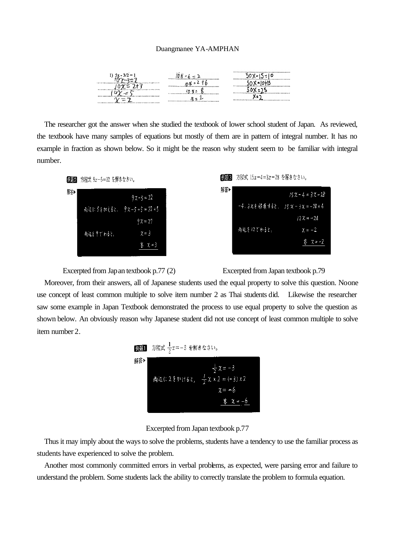|                                      | <b></b><br>                   |  |
|--------------------------------------|-------------------------------|--|
|                                      | ,,,,,,,,,,,,,,,,,,,,,,,,<br>. |  |
| ***************************<br><br>u |                               |  |
|                                      |                               |  |

The researcher got the answer when she studied the textbook of lower school student of Japan. As reviewed, the textbook have many samples of equations but mostly of them are in pattern of integral number. It has no example in fraction as shown below. So it might be the reason why student seem to be familiar with integral number.



Excerpted from Japan textbook p.77 (2) Excerpted from Japan textbook p.79

Moreover, from their answers, all of Japanese students used the equal property to solve this question. Noone use concept of least common multiple to solve item number 2 as Thai students did. Likewise the researcher saw some example in Japan Textbook demonstrated the process to use equal property to solve the question as shown below. An obviously reason why Japanese student did not use concept of least common multiple to solve item number 2.

|     | <mark>例題</mark> 】 方程式 $\frac{1}{2}x = -3$ を解きなさい。 |                                                                                            |
|-----|---------------------------------------------------|--------------------------------------------------------------------------------------------|
| 解答》 |                                                   | $\frac{1}{2}x = -3$<br>両辺に2をかけると, $\frac{1}{2} x x 2 = (-3) x 2$<br>$x = -b$<br>答 $x = -6$ |

Excerpted from Japan textbook p.77

Thus it may imply about the ways to solve the problems, students have a tendency to use the familiar process as students have experienced to solve the problem.

Another most commonly committed errors in verbal problems, as expected, were parsing error and failure to understand the problem. Some students lack the ability to correctly translate the problem to formula equation.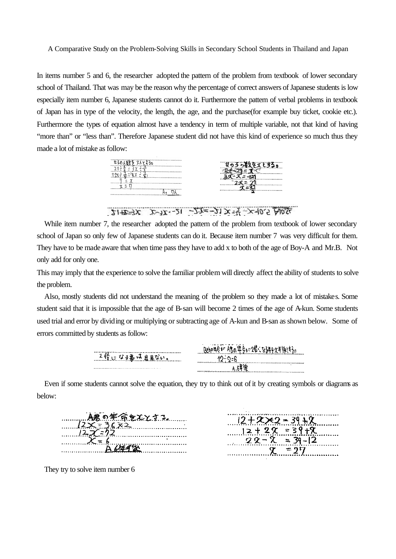In items number 5 and 6, the researcher adopted the pattern of the problem from textbook of lower secondary school of Thailand. That was may be the reason why the percentage of correct answers of Japanese students is low especially item number 6, Japanese students cannot do it. Furthermore the pattern of verbal problems in textbook of Japan has in type of the velocity, the length, the age, and the purchase(for example buy ticket, cookie etc.). Furthermore the types of equation almost have a tendency in term of multiple variable, not that kind of having "more than" or "less than". Therefore Japanese student did not have this kind of experience so much thus they made a lot of mistake as follow:

| <b>.</b><br>**********************<br>,,,,,,,,,,,,,,,,,,,,,,,,,,,,,,,,,,,,,,<br>,,,,,,,,,,,,,,,,,,,,,,,,,,,,,,,,,<br> | <br><br><br><br> |
|-----------------------------------------------------------------------------------------------------------------------|------------------|
|                                                                                                                       |                  |

 $21+25+3x$   $x-3x-21-2x-21$   $x-3-2x-40.5$   $A0.5x$ 

While item number 7, the researcher adopted the pattern of the problem from textbook of lower secondary school of Japan so only few of Japanese students can do it. Because item number 7 was very difficult for them. They have to be made aware that when time pass they have to add x to both of the age of Boy-A and Mr.B. Not only add for only one.

This may imply that the experience to solve the familiar problem will directly affect the ability of students to solve the problem.

Also, mostly students did not understand the meaning of the problem so they made a lot of mistakes. Some student said that it is impossible that the age of B-san will become 2 times of the age of A-kun. Some students used trial and error by dividing or multiplying or subtracting age of A-kun and B-san as shown below. Some of errors committed by students as follow:



below:

| . A君の年命をXXする            |  |
|-------------------------|--|
| $12 \times 36 \times 2$ |  |
| 127.22                  |  |
| $X = 6$                 |  |
| <b>A6年4次</b>            |  |



They try to solve item number 6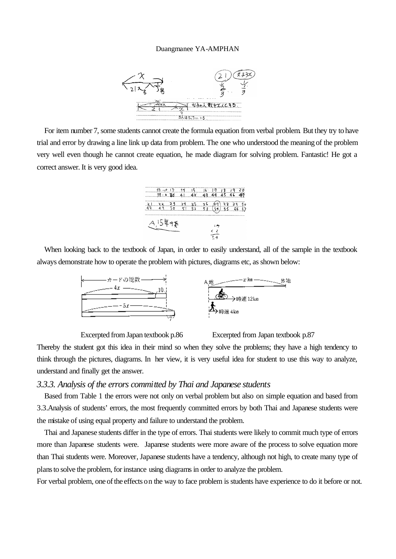

For item number 7, some students cannot create the formula equation from verbal problem. But they try to have trial and error by drawing a line link up data from problem. The one who understood the meaning of the problem very well even though he cannot create equation, he made diagram for solving problem. Fantastic! He got a correct answer. It is very good idea.



When looking back to the textbook of Japan, in order to easily understand, all of the sample in the textbook always demonstrate how to operate the problem with pictures, diagrams etc, as shown below:



Excerpted from Japan textbook p.86 Excerpted from Japan textbook p.87

Thereby the student got this idea in their mind so when they solve the problems; they have a high tendency to think through the pictures, diagrams. In her view, it is very useful idea for student to use this way to analyze, understand and finally get the answer.

## *3.3.3. Analysis of the errors committed by Thai and Japanese students*

Based from Table 1 the errors were not only on verbal problem but also on simple equation and based from 3.3.Analysis of students' errors, the most frequently committed errors by both Thai and Japanese students were the mistake of using equal property and failure to understand the problem.

Thai and Japanese students differ in the type of errors. Thai students were likely to commit much type of errors more than Japanese students were. Japanese students were more aware of the process to solve equation more than Thai students were. Moreover, Japanese students have a tendency, although not high, to create many type of plans to solve the problem, for instance using diagrams in order to analyze the problem.

For verbal problem, one of the effects on the way to face problem is students have experience to do it before or not.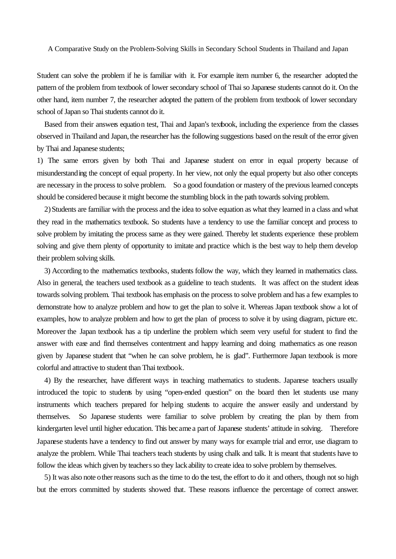Student can solve the problem if he is familiar with it. For example item number 6, the researcher adopted the pattern of the problem from textbook of lower secondary school of Thai so Japanese students cannot do it. On the other hand, item number 7, the researcher adopted the pattern of the problem from textbook of lower secondary school of Japan so Thai students cannot do it.

Based from their answers equation test, Thai and Japan's textbook, including the experience from the classes observed in Thailand and Japan, the researcher has the following suggestions based on the result of the error given by Thai and Japanese students;

1) The same errors given by both Thai and Japanese student on error in equal property because of misunderstanding the concept of equal property. In her view, not only the equal property but also other concepts are necessary in the process to solve problem. So a good foundation or mastery of the previous learned concepts should be considered because it might become the stumbling block in the path towards solving problem.

2) Students are familiar with the process and the idea to solve equation as what they learned in a class and what they read in the mathematics textbook. So students have a tendency to use the familiar concept and process to solve problem by imitating the process same as they were gained. Thereby let students experience these problem solving and give them plenty of opportunity to imitate and practice which is the best way to help them develop their problem solving skills.

3) According to the mathematics textbooks, students follow the way, which they learned in mathematics class. Also in general, the teachers used textbook as a guideline to teach students. It was affect on the student ideas towards solving problem. Thai textbook has emphasis on the process to solve problem and has a few examples to demonstrate how to analyze problem and how to get the plan to solve it. Whereas Japan textbook show a lot of examples, how to analyze problem and how to get the plan of process to solve it by using diagram, picture etc. Moreover the Japan textbook has a tip underline the problem which seem very useful for student to find the answer with ease and find themselves contentment and happy learning and doing mathematics as one reason given by Japanese student that "when he can solve problem, he is glad". Furthermore Japan textbook is more colorful and attractive to student than Thai textbook.

4) By the researcher, have different ways in teaching mathematics to students. Japanese teachers usually introduced the topic to students by using "open-ended question" on the board then let students use many instruments which teachers prepared for helping students to acquire the answer easily and understand by themselves. So Japanese students were familiar to solve problem by creating the plan by them from kindergarten level until higher education. This became a part of Japanese students' attitude in solving. Therefore Japanese students have a tendency to find out answer by many ways for example trial and error, use diagram to analyze the problem. While Thai teachers teach students by using chalk and talk. It is meant that students have to follow the ideas which given by teachers so they lack ability to create idea to solve problem by themselves.

5) It was also note other reasons such as the time to do the test, the effort to do it and others, though not so high but the errors committed by students showed that. These reasons influence the percentage of correct answer.